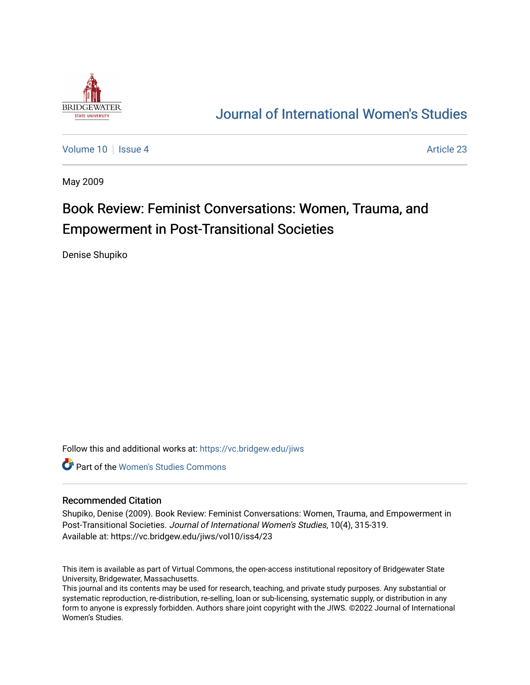

## [Journal of International Women's Studies](https://vc.bridgew.edu/jiws)

[Volume 10](https://vc.bridgew.edu/jiws/vol10) | [Issue 4](https://vc.bridgew.edu/jiws/vol10/iss4) Article 23

May 2009

# Book Review: Feminist Conversations: Women, Trauma, and Empowerment in Post-Transitional Societies

Denise Shupiko

Follow this and additional works at: [https://vc.bridgew.edu/jiws](https://vc.bridgew.edu/jiws?utm_source=vc.bridgew.edu%2Fjiws%2Fvol10%2Fiss4%2F23&utm_medium=PDF&utm_campaign=PDFCoverPages)

Part of the [Women's Studies Commons](http://network.bepress.com/hgg/discipline/561?utm_source=vc.bridgew.edu%2Fjiws%2Fvol10%2Fiss4%2F23&utm_medium=PDF&utm_campaign=PDFCoverPages) 

#### Recommended Citation

Shupiko, Denise (2009). Book Review: Feminist Conversations: Women, Trauma, and Empowerment in Post-Transitional Societies. Journal of International Women's Studies, 10(4), 315-319. Available at: https://vc.bridgew.edu/jiws/vol10/iss4/23

This item is available as part of Virtual Commons, the open-access institutional repository of Bridgewater State University, Bridgewater, Massachusetts.

This journal and its contents may be used for research, teaching, and private study purposes. Any substantial or systematic reproduction, re-distribution, re-selling, loan or sub-licensing, systematic supply, or distribution in any form to anyone is expressly forbidden. Authors share joint copyright with the JIWS. ©2022 Journal of International Women's Studies.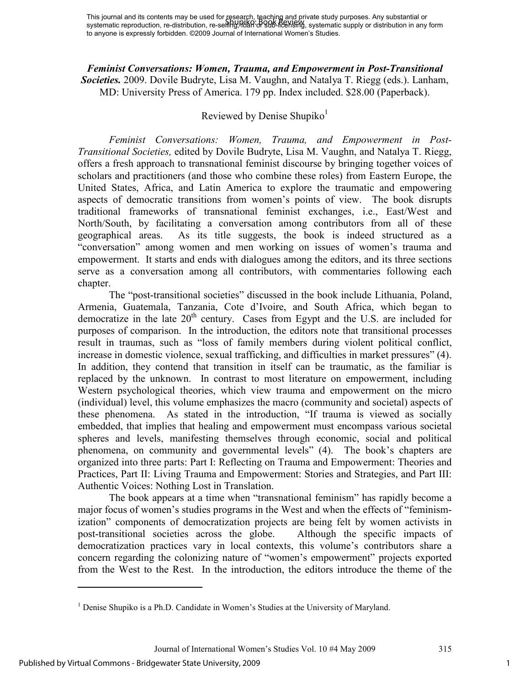*Feminist Conversations: Women, Trauma, and Empowerment in Post-Transitional Societies.* 2009. Dovile Budryte, Lisa M. Vaughn, and Natalya T. Riegg (eds.). Lanham, MD: University Press of America. 179 pp. Index included. \$28.00 (Paperback).

## Reviewed by Denise Shupiko $<sup>1</sup>$ </sup>

*Feminist Conversations: Women, Trauma, and Empowerment in Post-Transitional Societies,* edited by Dovile Budryte, Lisa M. Vaughn, and Natalya T. Riegg, offers a fresh approach to transnational feminist discourse by bringing together voices of scholars and practitioners (and those who combine these roles) from Eastern Europe, the United States, Africa, and Latin America to explore the traumatic and empowering aspects of democratic transitions from women's points of view. The book disrupts traditional frameworks of transnational feminist exchanges, i.e., East/West and North/South, by facilitating a conversation among contributors from all of these geographical areas. As its title suggests, the book is indeed structured as a "conversation" among women and men working on issues of women's trauma and empowerment. It starts and ends with dialogues among the editors, and its three sections serve as a conversation among all contributors, with commentaries following each chapter.

 The "post-transitional societies" discussed in the book include Lithuania, Poland, Armenia, Guatemala, Tanzania, Cote d'Ivoire, and South Africa, which began to democratize in the late  $20<sup>th</sup>$  century. Cases from Egypt and the U.S. are included for purposes of comparison. In the introduction, the editors note that transitional processes result in traumas, such as "loss of family members during violent political conflict, increase in domestic violence, sexual trafficking, and difficulties in market pressures" (4). In addition, they contend that transition in itself can be traumatic, as the familiar is replaced by the unknown. In contrast to most literature on empowerment, including Western psychological theories, which view trauma and empowerment on the micro (individual) level, this volume emphasizes the macro (community and societal) aspects of these phenomena. As stated in the introduction, "If trauma is viewed as socially embedded, that implies that healing and empowerment must encompass various societal spheres and levels, manifesting themselves through economic, social and political phenomena, on community and governmental levels" (4). The book's chapters are organized into three parts: Part I: Reflecting on Trauma and Empowerment: Theories and Practices, Part II: Living Trauma and Empowerment: Stories and Strategies, and Part III: Authentic Voices: Nothing Lost in Translation.

 The book appears at a time when "transnational feminism" has rapidly become a major focus of women's studies programs in the West and when the effects of "feminismization" components of democratization projects are being felt by women activists in post-transitional societies across the globe. Although the specific impacts of democratization practices vary in local contexts, this volume's contributors share a concern regarding the colonizing nature of "women's empowerment" projects exported from the West to the Rest. In the introduction, the editors introduce the theme of the

<u>.</u>

<sup>&</sup>lt;sup>1</sup> Denise Shupiko is a Ph.D. Candidate in Women's Studies at the University of Maryland.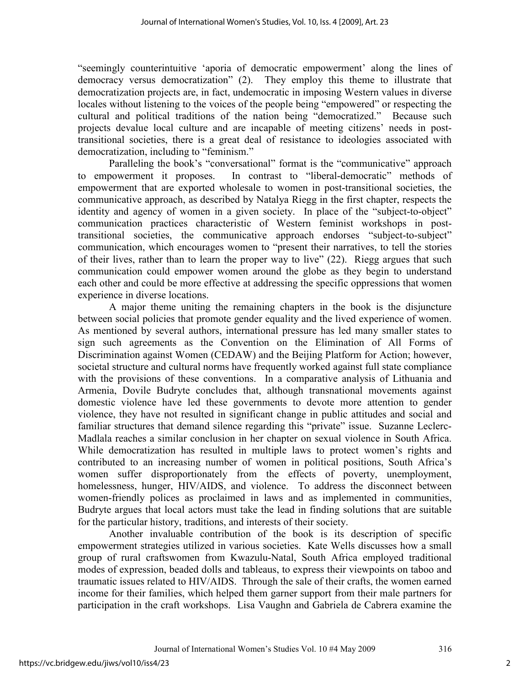"seemingly counterintuitive 'aporia of democratic empowerment' along the lines of democracy versus democratization" (2). They employ this theme to illustrate that democratization projects are, in fact, undemocratic in imposing Western values in diverse locales without listening to the voices of the people being "empowered" or respecting the cultural and political traditions of the nation being "democratized." Because such projects devalue local culture and are incapable of meeting citizens' needs in posttransitional societies, there is a great deal of resistance to ideologies associated with democratization, including to "feminism."

 Paralleling the book's "conversational" format is the "communicative" approach to empowerment it proposes. In contrast to "liberal-democratic" methods of empowerment that are exported wholesale to women in post-transitional societies, the communicative approach, as described by Natalya Riegg in the first chapter, respects the identity and agency of women in a given society. In place of the "subject-to-object" communication practices characteristic of Western feminist workshops in posttransitional societies, the communicative approach endorses "subject-to-subject" communication, which encourages women to "present their narratives, to tell the stories of their lives, rather than to learn the proper way to live" (22). Riegg argues that such communication could empower women around the globe as they begin to understand each other and could be more effective at addressing the specific oppressions that women experience in diverse locations.

 A major theme uniting the remaining chapters in the book is the disjuncture between social policies that promote gender equality and the lived experience of women. As mentioned by several authors, international pressure has led many smaller states to sign such agreements as the Convention on the Elimination of All Forms of Discrimination against Women (CEDAW) and the Beijing Platform for Action; however, societal structure and cultural norms have frequently worked against full state compliance with the provisions of these conventions. In a comparative analysis of Lithuania and Armenia, Dovile Budryte concludes that, although transnational movements against domestic violence have led these governments to devote more attention to gender violence, they have not resulted in significant change in public attitudes and social and familiar structures that demand silence regarding this "private" issue. Suzanne Leclerc-Madlala reaches a similar conclusion in her chapter on sexual violence in South Africa. While democratization has resulted in multiple laws to protect women's rights and contributed to an increasing number of women in political positions, South Africa's women suffer disproportionately from the effects of poverty, unemployment, homelessness, hunger, HIV/AIDS, and violence. To address the disconnect between women-friendly polices as proclaimed in laws and as implemented in communities, Budryte argues that local actors must take the lead in finding solutions that are suitable for the particular history, traditions, and interests of their society.

 Another invaluable contribution of the book is its description of specific empowerment strategies utilized in various societies. Kate Wells discusses how a small group of rural craftswomen from Kwazulu-Natal, South Africa employed traditional modes of expression, beaded dolls and tableaus, to express their viewpoints on taboo and traumatic issues related to HIV/AIDS. Through the sale of their crafts, the women earned income for their families, which helped them garner support from their male partners for participation in the craft workshops. Lisa Vaughn and Gabriela de Cabrera examine the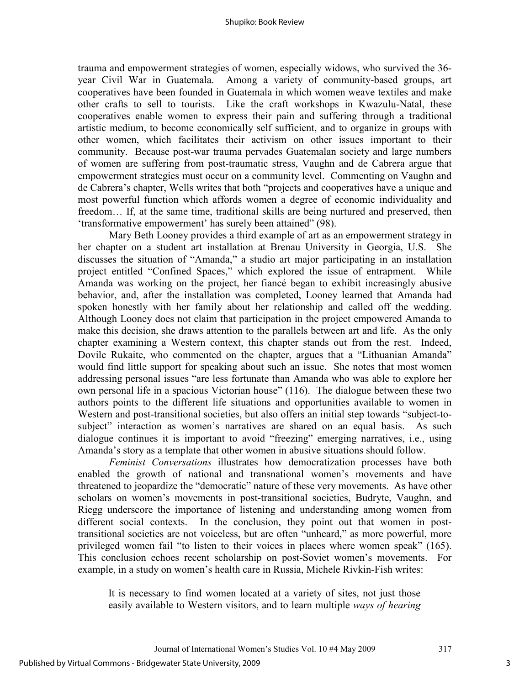trauma and empowerment strategies of women, especially widows, who survived the 36 year Civil War in Guatemala. Among a variety of community-based groups, art cooperatives have been founded in Guatemala in which women weave textiles and make other crafts to sell to tourists. Like the craft workshops in Kwazulu-Natal, these cooperatives enable women to express their pain and suffering through a traditional artistic medium, to become economically self sufficient, and to organize in groups with other women, which facilitates their activism on other issues important to their community. Because post-war trauma pervades Guatemalan society and large numbers of women are suffering from post-traumatic stress, Vaughn and de Cabrera argue that empowerment strategies must occur on a community level. Commenting on Vaughn and de Cabrera's chapter, Wells writes that both "projects and cooperatives have a unique and most powerful function which affords women a degree of economic individuality and freedom… If, at the same time, traditional skills are being nurtured and preserved, then 'transformative empowerment' has surely been attained" (98).

Mary Beth Looney provides a third example of art as an empowerment strategy in her chapter on a student art installation at Brenau University in Georgia, U.S. She discusses the situation of "Amanda," a studio art major participating in an installation project entitled "Confined Spaces," which explored the issue of entrapment. While Amanda was working on the project, her fiancé began to exhibit increasingly abusive behavior, and, after the installation was completed, Looney learned that Amanda had spoken honestly with her family about her relationship and called off the wedding. Although Looney does not claim that participation in the project empowered Amanda to make this decision, she draws attention to the parallels between art and life. As the only chapter examining a Western context, this chapter stands out from the rest. Indeed, Dovile Rukaite, who commented on the chapter, argues that a "Lithuanian Amanda" would find little support for speaking about such an issue. She notes that most women addressing personal issues "are less fortunate than Amanda who was able to explore her own personal life in a spacious Victorian house" (116). The dialogue between these two authors points to the different life situations and opportunities available to women in Western and post-transitional societies, but also offers an initial step towards "subject-tosubject" interaction as women's narratives are shared on an equal basis. As such dialogue continues it is important to avoid "freezing" emerging narratives, i.e., using Amanda's story as a template that other women in abusive situations should follow.

*Feminist Conversations* illustrates how democratization processes have both enabled the growth of national and transnational women's movements and have threatened to jeopardize the "democratic" nature of these very movements. As have other scholars on women's movements in post-transitional societies, Budryte, Vaughn, and Riegg underscore the importance of listening and understanding among women from different social contexts. In the conclusion, they point out that women in posttransitional societies are not voiceless, but are often "unheard," as more powerful, more privileged women fail "to listen to their voices in places where women speak" (165). This conclusion echoes recent scholarship on post-Soviet women's movements. For example, in a study on women's health care in Russia, Michele Rivkin-Fish writes:

It is necessary to find women located at a variety of sites, not just those easily available to Western visitors, and to learn multiple *ways of hearing*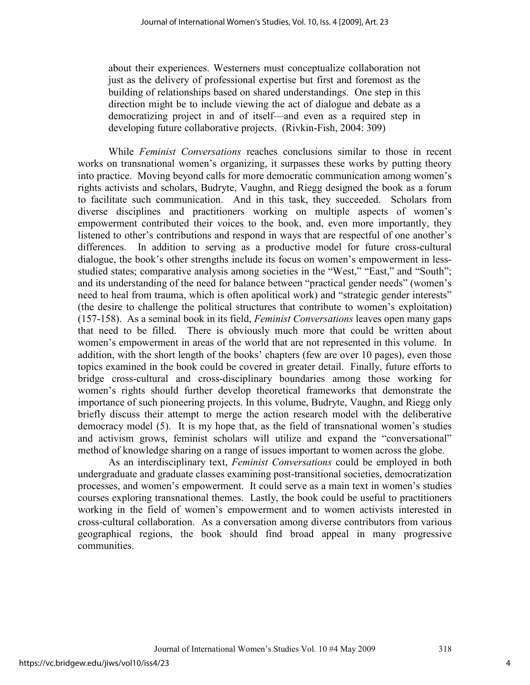about their experiences. Westerners must conceptualize collaboration not just as the delivery of professional expertise but first and foremost as the building of relationships based on shared understandings. One step in this direction might be to include viewing the act of dialogue and debate as a democratizing project in and of itself—and even as a required step in developing future collaborative projects. (Rivkin-Fish, 2004: 309)

While *Feminist Conversations* reaches conclusions similar to those in recent works on transnational women's organizing, it surpasses these works by putting theory into practice. Moving beyond calls for more democratic communication among women's rights activists and scholars, Budryte, Vaughn, and Riegg designed the book as a forum to facilitate such communication. And in this task, they succeeded. Scholars from diverse disciplines and practitioners working on multiple aspects of women's empowerment contributed their voices to the book, and, even more importantly, they listened to other's contributions and respond in ways that are respectful of one another's differences. In addition to serving as a productive model for future cross-cultural dialogue, the book's other strengths include its focus on women's empowerment in lessstudied states; comparative analysis among societies in the "West," "East," and "South"; and its understanding of the need for balance between "practical gender needs" (women's need to heal from trauma, which is often apolitical work) and "strategic gender interests" (the desire to challenge the political structures that contribute to women's exploitation) (157-158). As a seminal book in its field, *Feminist Conversations* leaves open many gaps that need to be filled. There is obviously much more that could be written about women's empowerment in areas of the world that are not represented in this volume. In addition, with the short length of the books' chapters (few are over 10 pages), even those topics examined in the book could be covered in greater detail. Finally, future efforts to bridge cross-cultural and cross-disciplinary boundaries among those working for women's rights should further develop theoretical frameworks that demonstrate the importance of such pioneering projects. In this volume, Budryte, Vaughn, and Riegg only briefly discuss their attempt to merge the action research model with the deliberative democracy model (5). It is my hope that, as the field of transnational women's studies and activism grows, feminist scholars will utilize and expand the "conversational" method of knowledge sharing on a range of issues important to women across the globe.

As an interdisciplinary text, *Feminist Conversations* could be employed in both undergraduate and graduate classes examining post-transitional societies, democratization processes, and women's empowerment. It could serve as a main text in women's studies courses exploring transnational themes. Lastly, the book could be useful to practitioners working in the field of women's empowerment and to women activists interested in cross-cultural collaboration. As a conversation among diverse contributors from various geographical regions, the book should find broad appeal in many progressive communities.